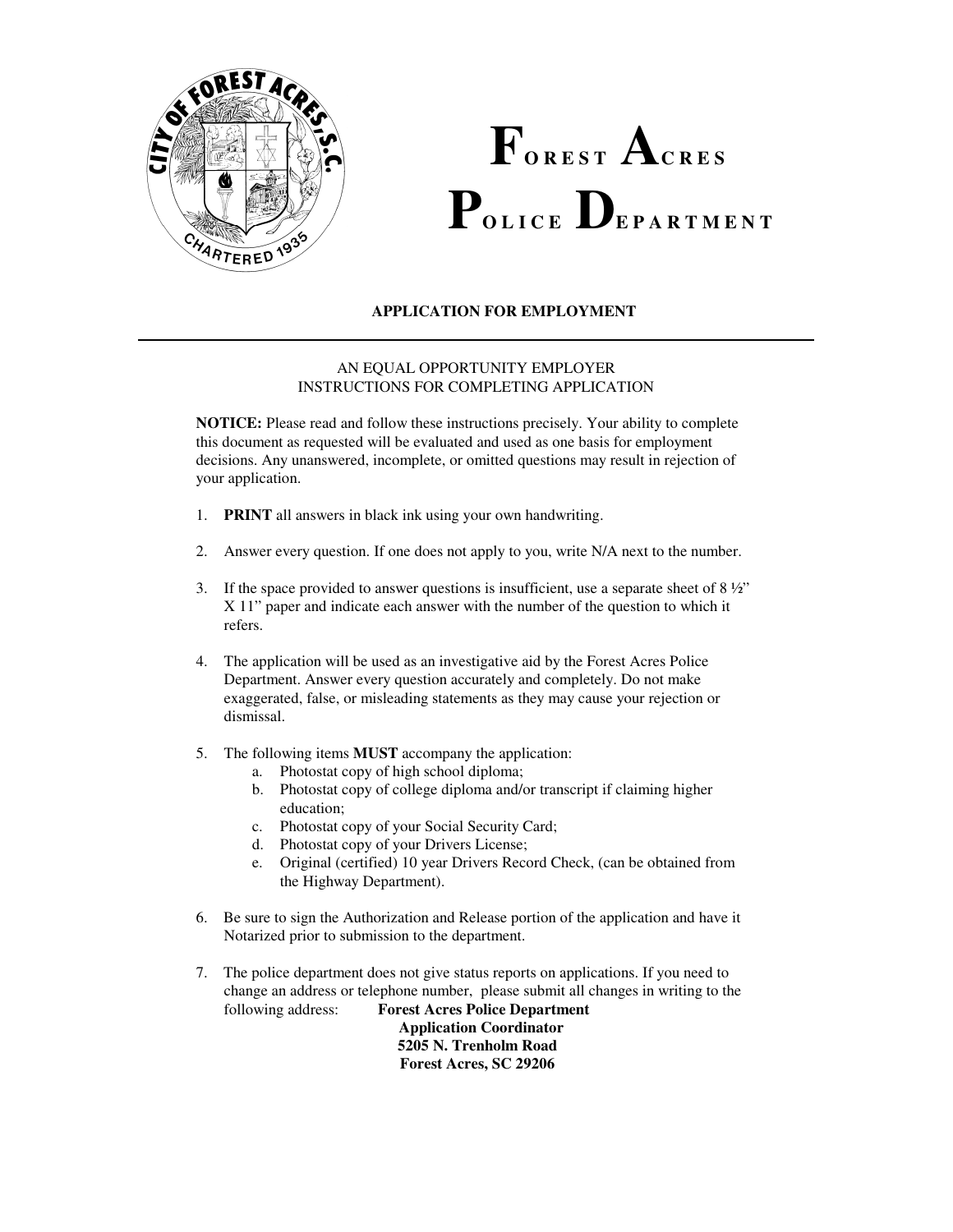

# $\mathbf{P}_{\text{olice}}$   $\mathbf{D}_{\text{Eparmer}}$  $\mathbf{F}_{\text{orest}}$  ACRES

## **APPLICATION FOR EMPLOYMENT**

#### AN EQUAL OPPORTUNITY EMPLOYER INSTRUCTIONS FOR COMPLETING APPLICATION

 **NOTICE:** Please read and follow these instructions precisely. Your ability to complete this document as requested will be evaluated and used as one basis for employment decisions. Any unanswered, incomplete, or omitted questions may result in rejection of your application.

- 1. **PRINT** all answers in black ink using your own handwriting.
- 2. Answer every question. If one does not apply to you, write N/A next to the number.
- 3. If the space provided to answer questions is insufficient, use a separate sheet of  $8\frac{1}{2}$ " X 11" paper and indicate each answer with the number of the question to which it refers.
- 4. The application will be used as an investigative aid by the Forest Acres Police Department. Answer every question accurately and completely. Do not make exaggerated, false, or misleading statements as they may cause your rejection or dismissal.
- 5. The following items **MUST** accompany the application:
	- a. Photostat copy of high school diploma;
	- b. Photostat copy of college diploma and/or transcript if claiming higher education;
	- c. Photostat copy of your Social Security Card;
	- d. Photostat copy of your Drivers License;
	- e. Original (certified) 10 year Drivers Record Check, (can be obtained from the Highway Department).
- Notarized prior to submission to the department. 6. Be sure to sign the Authorization and Release portion of the application and have it
- change an address or telephone number, please submit all changes in writing to the following address: 7. The police department does not give status reports on applications. If you need to **Forest Acres Police Department Application Coordinator 5205 N. Trenholm Road Forest Acres, SC 29206**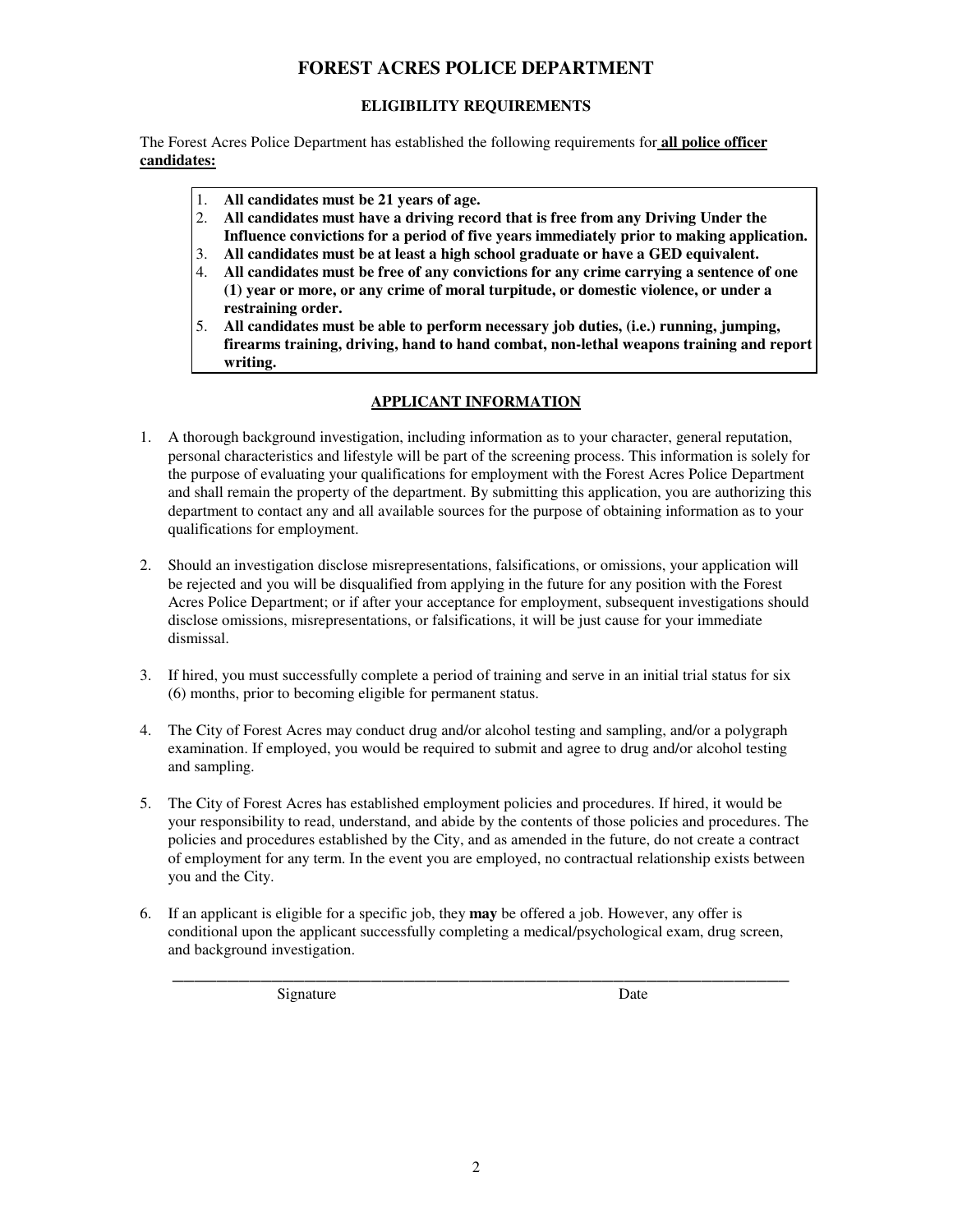#### **ELIGIBILITY REQUIREMENTS**

 The Forest Acres Police Department has established the following requirements for **all police officer candidates:** 

- 1. **All candidates must be 21 years of age.**
- 2. **All candidates must have a driving record that is free from any Driving Under the Influence convictions for a period of five years immediately prior to making application.**
- 3. **All candidates must be at least a high school graduate or have a GED equivalent.**
- 4. **All candidates must be free of any convictions for any crime carrying a sentence of one (1) year or more, or any crime of moral turpitude, or domestic violence, or under a restraining order.**
- 5. **All candidates must be able to perform necessary job duties, (i.e.) running, jumping, firearms training, driving, hand to hand combat, non-lethal weapons training and report writing.**

## **APPLICANT INFORMATION**

- 1. A thorough background investigation, including information as to your character, general reputation, personal characteristics and lifestyle will be part of the screening process. This information is solely for the purpose of evaluating your qualifications for employment with the Forest Acres Police Department and shall remain the property of the department. By submitting this application, you are authorizing this department to contact any and all available sources for the purpose of obtaining information as to your qualifications for employment.
- 2. Should an investigation disclose misrepresentations, falsifications, or omissions, your application will be rejected and you will be disqualified from applying in the future for any position with the Forest Acres Police Department; or if after your acceptance for employment, subsequent investigations should disclose omissions, misrepresentations, or falsifications, it will be just cause for your immediate dismissal.
- 3. If hired, you must successfully complete a period of training and serve in an initial trial status for six (6) months, prior to becoming eligible for permanent status.
- 4. The City of Forest Acres may conduct drug and/or alcohol testing and sampling, and/or a polygraph examination. If employed, you would be required to submit and agree to drug and/or alcohol testing and sampling.
- 5. The City of Forest Acres has established employment policies and procedures. If hired, it would be your responsibility to read, understand, and abide by the contents of those policies and procedures. The policies and procedures established by the City, and as amended in the future, do not create a contract of employment for any term. In the event you are employed, no contractual relationship exists between you and the City.
- 6. If an applicant is eligible for a specific job, they **may** be offered a job. However, any offer is conditional upon the applicant successfully completing a medical/psychological exam, drug screen, and background investigation.

\_\_\_\_\_\_\_\_\_\_\_\_\_\_\_\_\_\_\_\_\_\_\_\_\_\_\_\_\_\_\_\_\_\_\_\_\_\_\_\_\_\_\_\_\_\_\_\_\_\_\_\_\_\_\_\_

Signature Date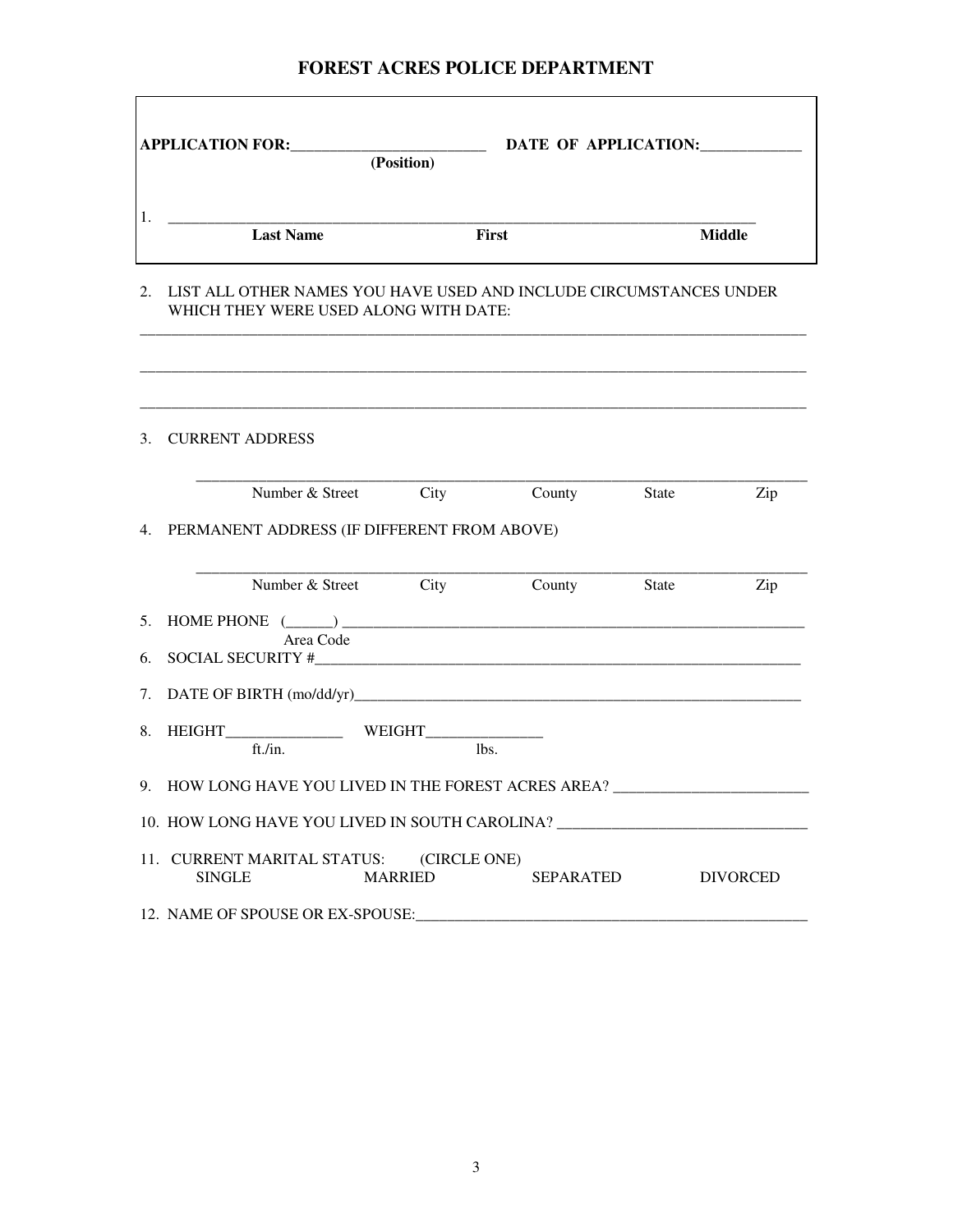| <b>APPLICATION FOR:</b> | (Position) | DATE OF APPLICATION: |               |
|-------------------------|------------|----------------------|---------------|
| ı.<br><b>Last Name</b>  |            | First                | <b>Middle</b> |

#### 2. LIST ALL OTHER NAMES YOU HAVE USED AND INCLUDE CIRCUMSTANCES UNDER WHICH THEY WERE USED ALONG WITH DATE:

\_\_\_\_\_\_\_\_\_\_\_\_\_\_\_\_\_\_\_\_\_\_\_\_\_\_\_\_\_\_\_\_\_\_\_\_\_\_\_\_\_\_\_\_\_\_\_\_\_\_\_\_\_\_\_\_\_\_\_\_\_\_\_\_\_\_\_\_\_\_\_\_\_\_\_\_\_\_\_\_\_\_\_\_\_

\_\_\_\_\_\_\_\_\_\_\_\_\_\_\_\_\_\_\_\_\_\_\_\_\_\_\_\_\_\_\_\_\_\_\_\_\_\_\_\_\_\_\_\_\_\_\_\_\_\_\_\_\_\_\_\_\_\_\_\_\_\_\_\_\_\_\_\_\_\_\_\_\_\_\_\_\_\_\_\_\_\_\_\_\_

| 3. CURRENT ADDRESS                                                                                |
|---------------------------------------------------------------------------------------------------|
| Number & Street City County State<br>Zip                                                          |
| 4. PERMANENT ADDRESS (IF DIFFERENT FROM ABOVE)                                                    |
| Number & Street City County State<br>Zip                                                          |
| 5. HOME PHONE $(\_\_)$<br>Area Code                                                               |
|                                                                                                   |
|                                                                                                   |
|                                                                                                   |
| ft./in.<br>lbs.                                                                                   |
| 9. HOW LONG HAVE YOU LIVED IN THE FOREST ACRES AREA? ___________________________                  |
| 10. HOW LONG HAVE YOU LIVED IN SOUTH CAROLINA?                                                    |
| 11. CURRENT MARITAL STATUS: (CIRCLE ONE)<br>SEPARATED DIVORCED<br><b>SINGLE</b><br><b>MARRIED</b> |
| 12. NAME OF SPOUSE OR EX-SPOUSE:                                                                  |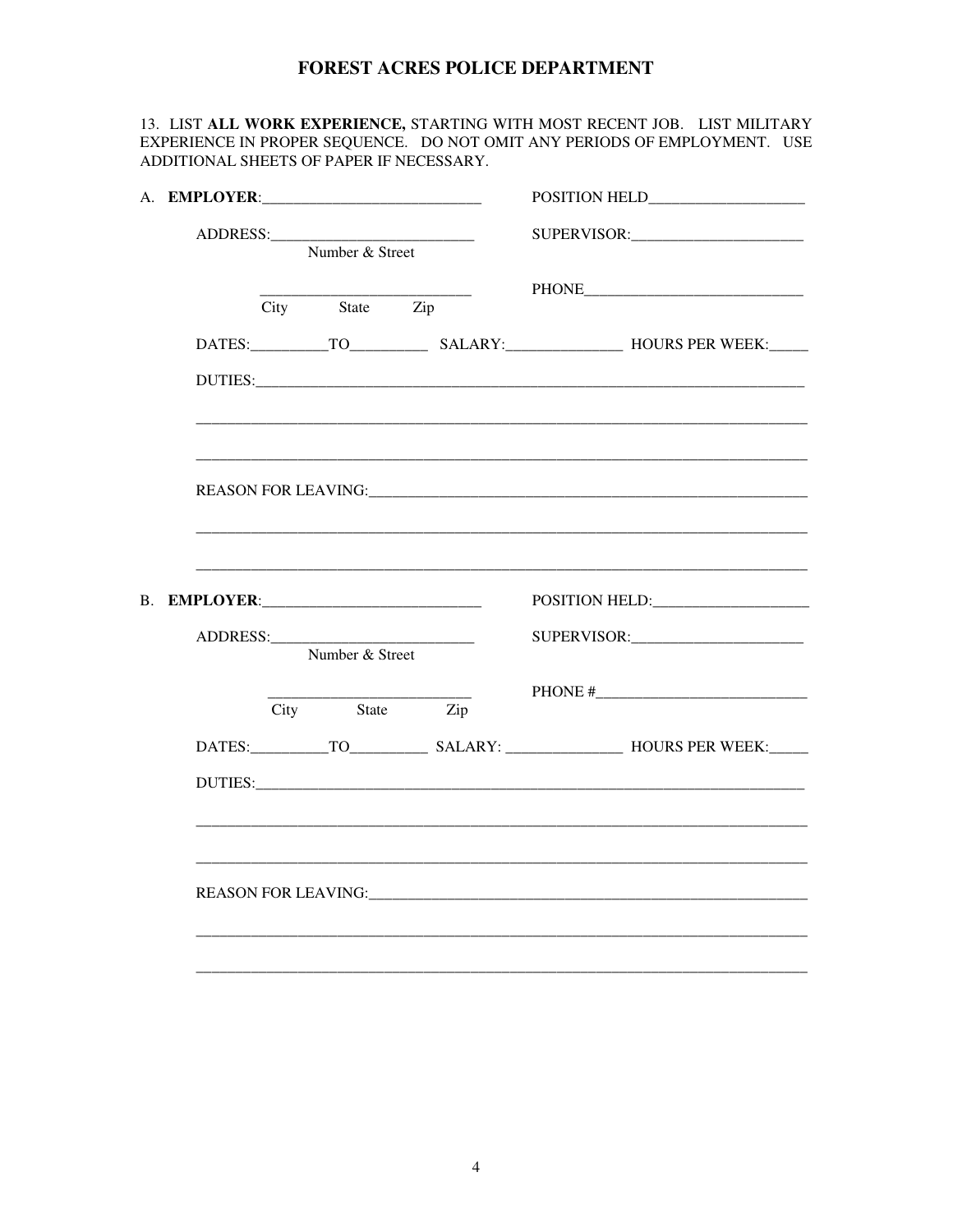13. LIST ALL WORK EXPERIENCE, STARTING WITH MOST RECENT JOB. LIST MILITARY EXPERIENCE IN PROPER SEQUENCE. DO NOT OMIT ANY PERIODS OF EMPLOYMENT. USE ADDITIONAL SHEETS OF PAPER IF NECESSARY.

| Number & Street |  |                 |              |                                                                                                                                                                                                                                |  |  |
|-----------------|--|-----------------|--------------|--------------------------------------------------------------------------------------------------------------------------------------------------------------------------------------------------------------------------------|--|--|
|                 |  |                 |              |                                                                                                                                                                                                                                |  |  |
|                 |  | City State Zip  |              |                                                                                                                                                                                                                                |  |  |
|                 |  |                 |              | DATES: TO SALARY: HOURS PER WEEK:                                                                                                                                                                                              |  |  |
|                 |  |                 |              |                                                                                                                                                                                                                                |  |  |
|                 |  |                 |              |                                                                                                                                                                                                                                |  |  |
|                 |  |                 |              |                                                                                                                                                                                                                                |  |  |
|                 |  |                 |              |                                                                                                                                                                                                                                |  |  |
|                 |  |                 |              |                                                                                                                                                                                                                                |  |  |
|                 |  |                 | B. EMPLOYER: | POSITION HELD: POSITION                                                                                                                                                                                                        |  |  |
|                 |  |                 |              |                                                                                                                                                                                                                                |  |  |
|                 |  | Number & Street |              |                                                                                                                                                                                                                                |  |  |
|                 |  | State<br>City   | Zip          |                                                                                                                                                                                                                                |  |  |
|                 |  |                 |              |                                                                                                                                                                                                                                |  |  |
|                 |  |                 |              | DUTIES: New York Contract the Contract of the Contract of the Contract of the Contract of the Contract of the Contract of the Contract of the Contract of the Contract of the Contract of the Contract of the Contract of the  |  |  |
|                 |  |                 |              |                                                                                                                                                                                                                                |  |  |
|                 |  |                 |              |                                                                                                                                                                                                                                |  |  |
|                 |  |                 |              |                                                                                                                                                                                                                                |  |  |
|                 |  |                 |              |                                                                                                                                                                                                                                |  |  |
|                 |  |                 |              | REASON FOR LEAVING: The contract of the contract of the contract of the contract of the contract of the contract of the contract of the contract of the contract of the contract of the contract of the contract of the contra |  |  |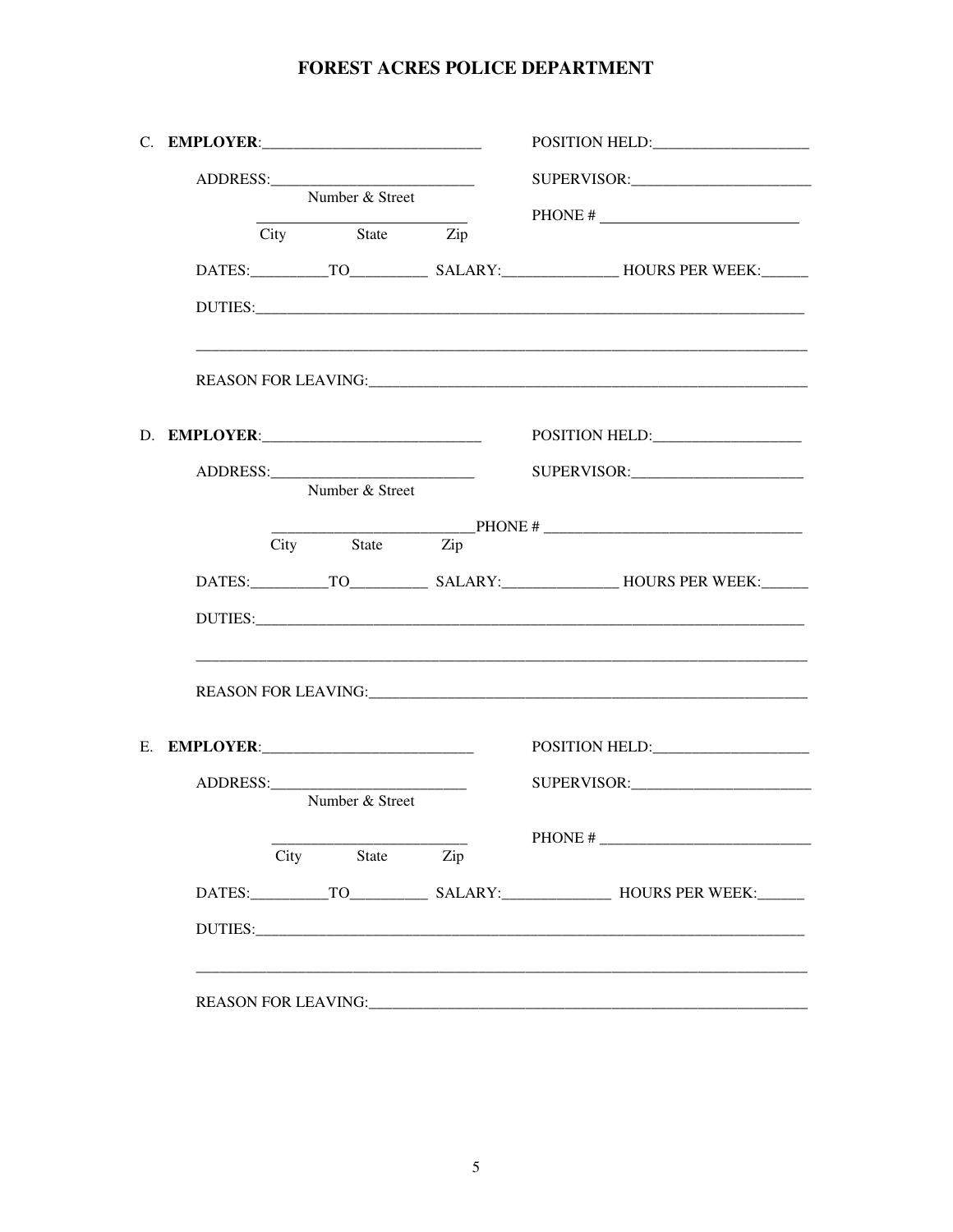|  |      | Number & Street |     |                                                                                                                                                                                                                                |
|--|------|-----------------|-----|--------------------------------------------------------------------------------------------------------------------------------------------------------------------------------------------------------------------------------|
|  |      |                 |     | PHONE #                                                                                                                                                                                                                        |
|  |      | City State Zip  |     |                                                                                                                                                                                                                                |
|  |      |                 |     |                                                                                                                                                                                                                                |
|  |      |                 |     |                                                                                                                                                                                                                                |
|  |      |                 |     |                                                                                                                                                                                                                                |
|  |      |                 |     |                                                                                                                                                                                                                                |
|  |      |                 |     |                                                                                                                                                                                                                                |
|  |      | Number & Street |     |                                                                                                                                                                                                                                |
|  |      | City State Zip  |     |                                                                                                                                                                                                                                |
|  |      |                 |     |                                                                                                                                                                                                                                |
|  |      |                 |     |                                                                                                                                                                                                                                |
|  |      |                 |     |                                                                                                                                                                                                                                |
|  |      |                 |     | REASON FOR LEAVING: The contract of the contract of the contract of the contract of the contract of the contract of the contract of the contract of the contract of the contract of the contract of the contract of the contra |
|  |      |                 |     |                                                                                                                                                                                                                                |
|  |      |                 |     |                                                                                                                                                                                                                                |
|  |      | Number & Street |     |                                                                                                                                                                                                                                |
|  |      |                 |     |                                                                                                                                                                                                                                |
|  | City | State           | Zip |                                                                                                                                                                                                                                |
|  |      |                 |     |                                                                                                                                                                                                                                |
|  |      |                 |     |                                                                                                                                                                                                                                |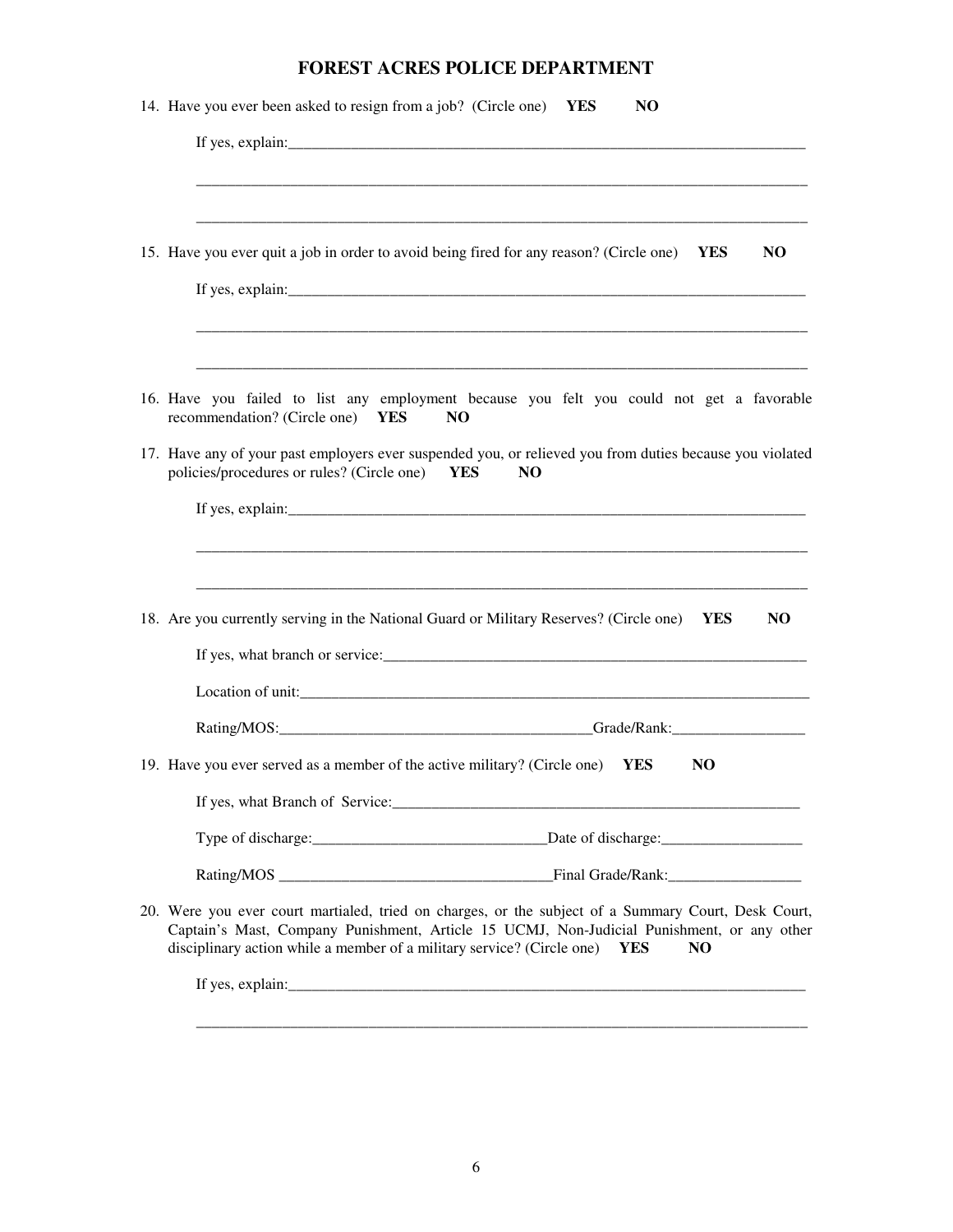| <b>FOREST ACRES POLICE DEPARTMENT</b>                                                                                                                                                                                                                                                             |
|---------------------------------------------------------------------------------------------------------------------------------------------------------------------------------------------------------------------------------------------------------------------------------------------------|
| 14. Have you ever been asked to resign from a job? (Circle one)<br>N <sub>O</sub><br>YES                                                                                                                                                                                                          |
|                                                                                                                                                                                                                                                                                                   |
|                                                                                                                                                                                                                                                                                                   |
| 15. Have you ever quit a job in order to avoid being fired for any reason? (Circle one)<br>N <sub>O</sub><br>YES                                                                                                                                                                                  |
|                                                                                                                                                                                                                                                                                                   |
| 16. Have you failed to list any employment because you felt you could not get a favorable<br>recommendation? (Circle one)<br>N <sub>O</sub><br><b>YES</b>                                                                                                                                         |
| 17. Have any of your past employers ever suspended you, or relieved you from duties because you violated<br>policies/procedures or rules? (Circle one)<br><b>YES</b><br>N <sub>O</sub>                                                                                                            |
|                                                                                                                                                                                                                                                                                                   |
| 18. Are you currently serving in the National Guard or Military Reserves? (Circle one) YES<br>NO.                                                                                                                                                                                                 |
|                                                                                                                                                                                                                                                                                                   |
| Grade/Rank:                                                                                                                                                                                                                                                                                       |
| 19. Have you ever served as a member of the active military? (Circle one) YES<br>NO                                                                                                                                                                                                               |
|                                                                                                                                                                                                                                                                                                   |
|                                                                                                                                                                                                                                                                                                   |
|                                                                                                                                                                                                                                                                                                   |
| 20. Were you ever court martialed, tried on charges, or the subject of a Summary Court, Desk Court,<br>Captain's Mast, Company Punishment, Article 15 UCMJ, Non-Judicial Punishment, or any other<br>disciplinary action while a member of a military service? (Circle one) YES<br>N <sub>O</sub> |
|                                                                                                                                                                                                                                                                                                   |
|                                                                                                                                                                                                                                                                                                   |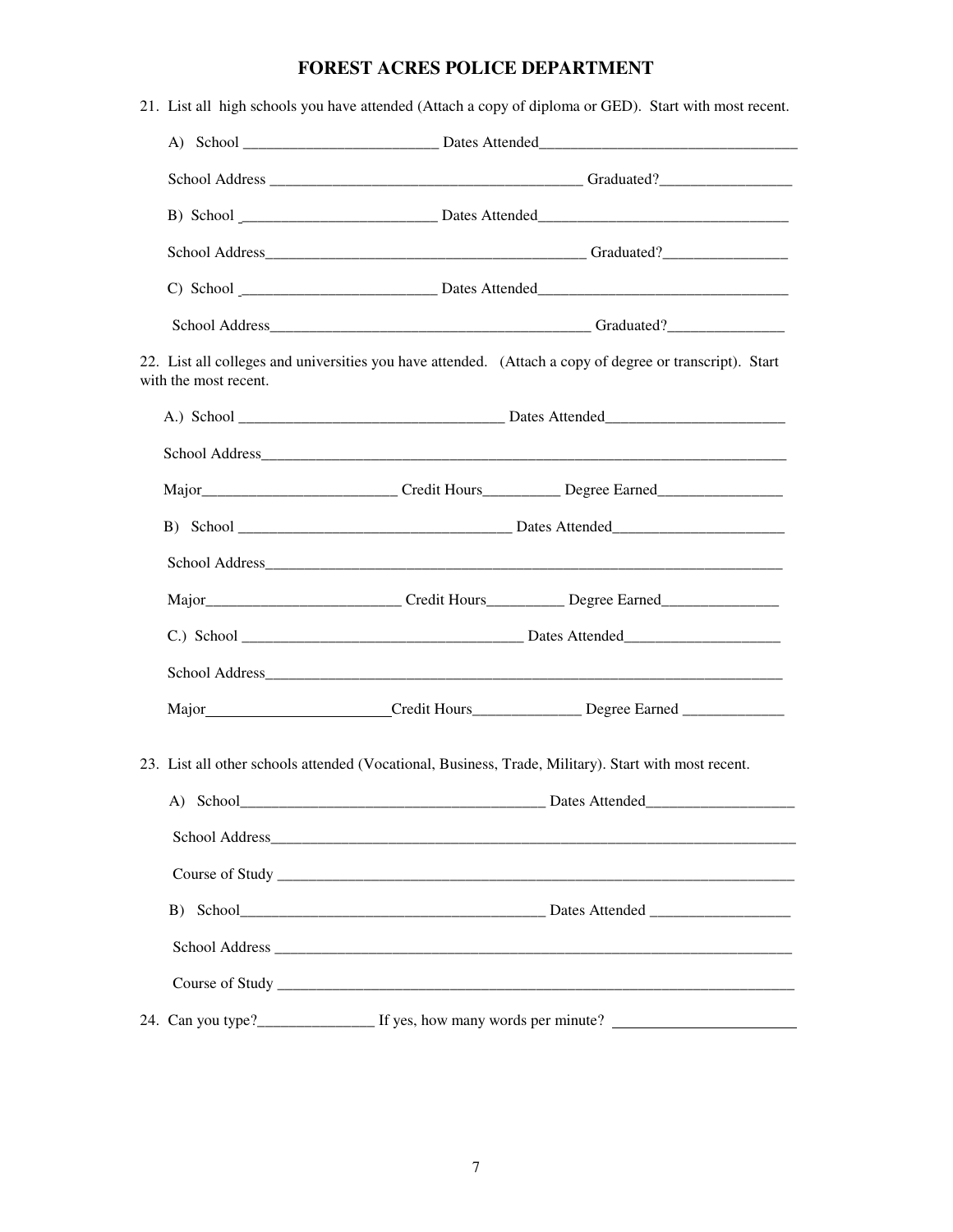|                       | 21. List all high schools you have attended (Attach a copy of diploma or GED). Start with most recent.   |
|-----------------------|----------------------------------------------------------------------------------------------------------|
|                       |                                                                                                          |
|                       |                                                                                                          |
|                       |                                                                                                          |
|                       |                                                                                                          |
|                       |                                                                                                          |
|                       |                                                                                                          |
| with the most recent. | 22. List all colleges and universities you have attended. (Attach a copy of degree or transcript). Start |
|                       |                                                                                                          |
|                       |                                                                                                          |
|                       | Major__________________________________Credit Hours_____________Degree Earned______________________      |
|                       |                                                                                                          |
|                       |                                                                                                          |
|                       | Major_______________________________Credit Hours____________Degree Earned__________________________      |
|                       |                                                                                                          |
|                       |                                                                                                          |
|                       |                                                                                                          |
|                       | 23. List all other schools attended (Vocational, Business, Trade, Military). Start with most recent.     |
|                       |                                                                                                          |
|                       |                                                                                                          |
|                       |                                                                                                          |
|                       |                                                                                                          |
|                       |                                                                                                          |
|                       |                                                                                                          |
|                       |                                                                                                          |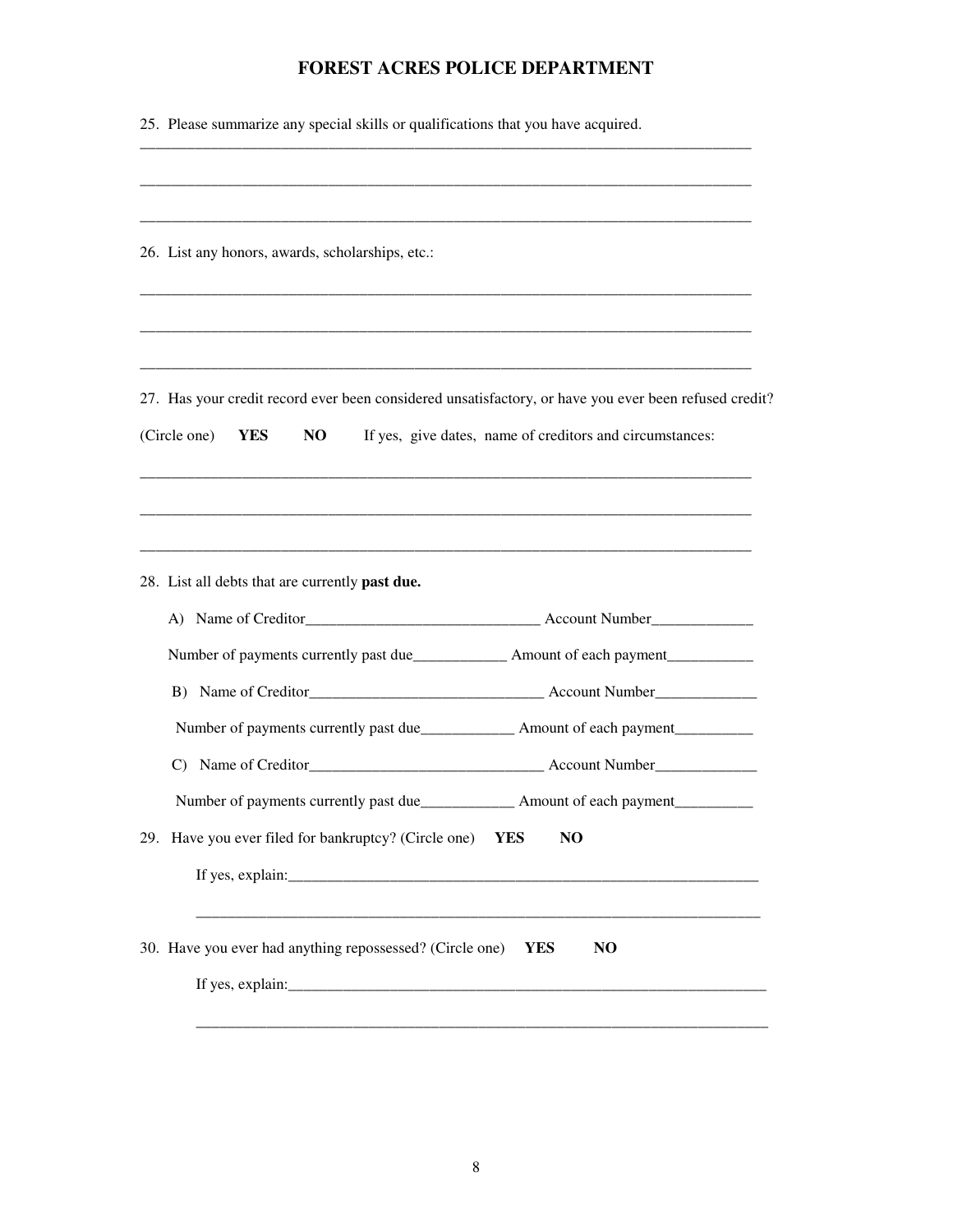| 25. Please summarize any special skills or qualifications that you have acquired.                                                                                                                                 |
|-------------------------------------------------------------------------------------------------------------------------------------------------------------------------------------------------------------------|
| 26. List any honors, awards, scholarships, etc.:                                                                                                                                                                  |
|                                                                                                                                                                                                                   |
| 27. Has your credit record ever been considered unsatisfactory, or have you ever been refused credit?<br>If yes, give dates, name of creditors and circumstances:<br>(Circle one)<br>N <sub>O</sub><br><b>YES</b> |
| 28. List all debts that are currently past due.                                                                                                                                                                   |
|                                                                                                                                                                                                                   |
|                                                                                                                                                                                                                   |
|                                                                                                                                                                                                                   |
| Number of payments currently past due_______________________ Amount of each payment________________                                                                                                               |
| $\mathcal{C}$                                                                                                                                                                                                     |
|                                                                                                                                                                                                                   |
| 29. Have you ever filed for bankruptcy? (Circle one)<br><b>YES</b><br>N <sub>O</sub>                                                                                                                              |
|                                                                                                                                                                                                                   |
| 30. Have you ever had anything repossessed? (Circle one)<br><b>YES</b><br>N <sub>O</sub>                                                                                                                          |
|                                                                                                                                                                                                                   |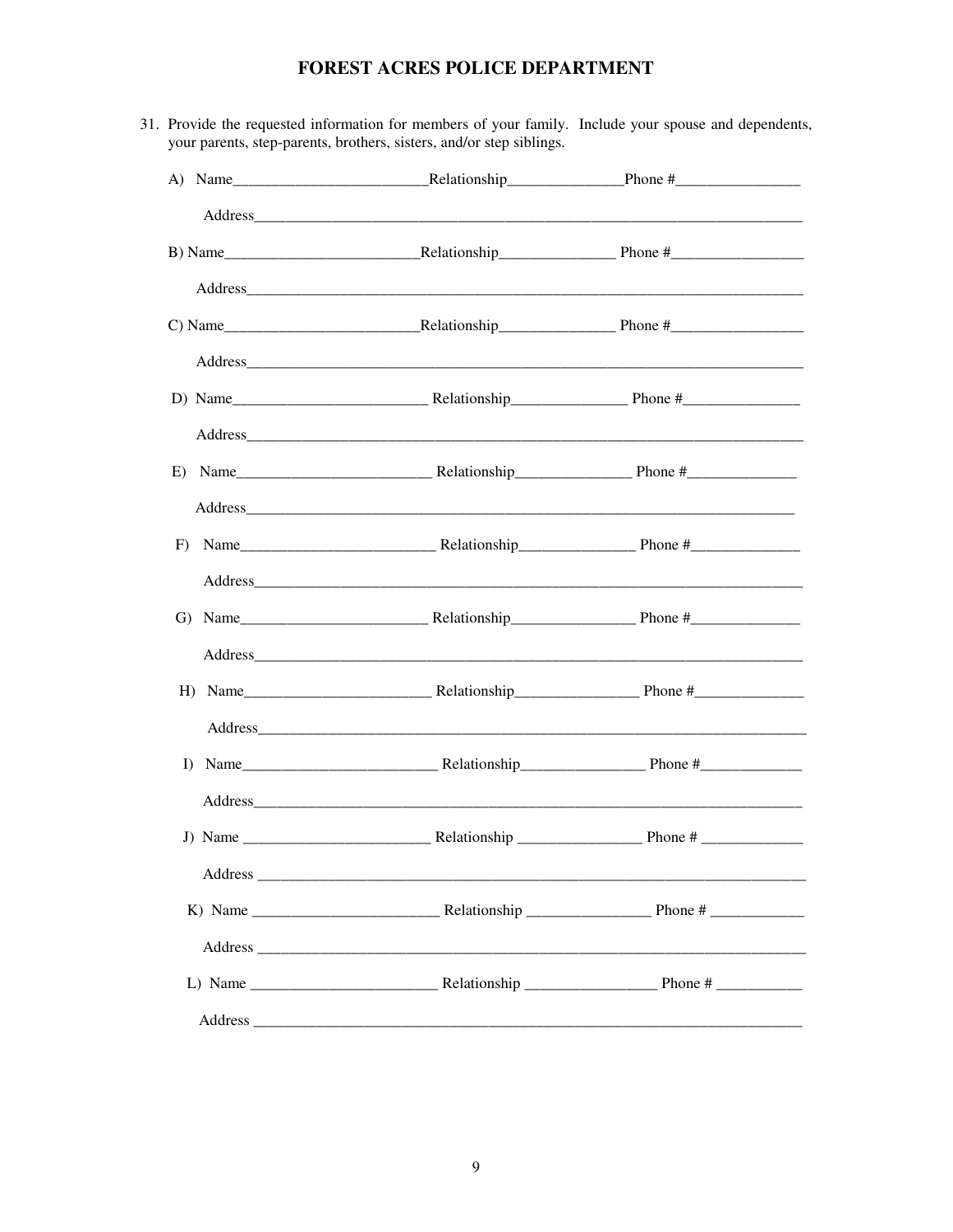| Address Andreas Address Address Address Address Address Address Address Address Address Address Address Address Address Address Address Address Address Address Address Address Address Address Address Address Address Addres |  |
|--------------------------------------------------------------------------------------------------------------------------------------------------------------------------------------------------------------------------------|--|
|                                                                                                                                                                                                                                |  |
|                                                                                                                                                                                                                                |  |
|                                                                                                                                                                                                                                |  |
|                                                                                                                                                                                                                                |  |
|                                                                                                                                                                                                                                |  |
|                                                                                                                                                                                                                                |  |
|                                                                                                                                                                                                                                |  |
|                                                                                                                                                                                                                                |  |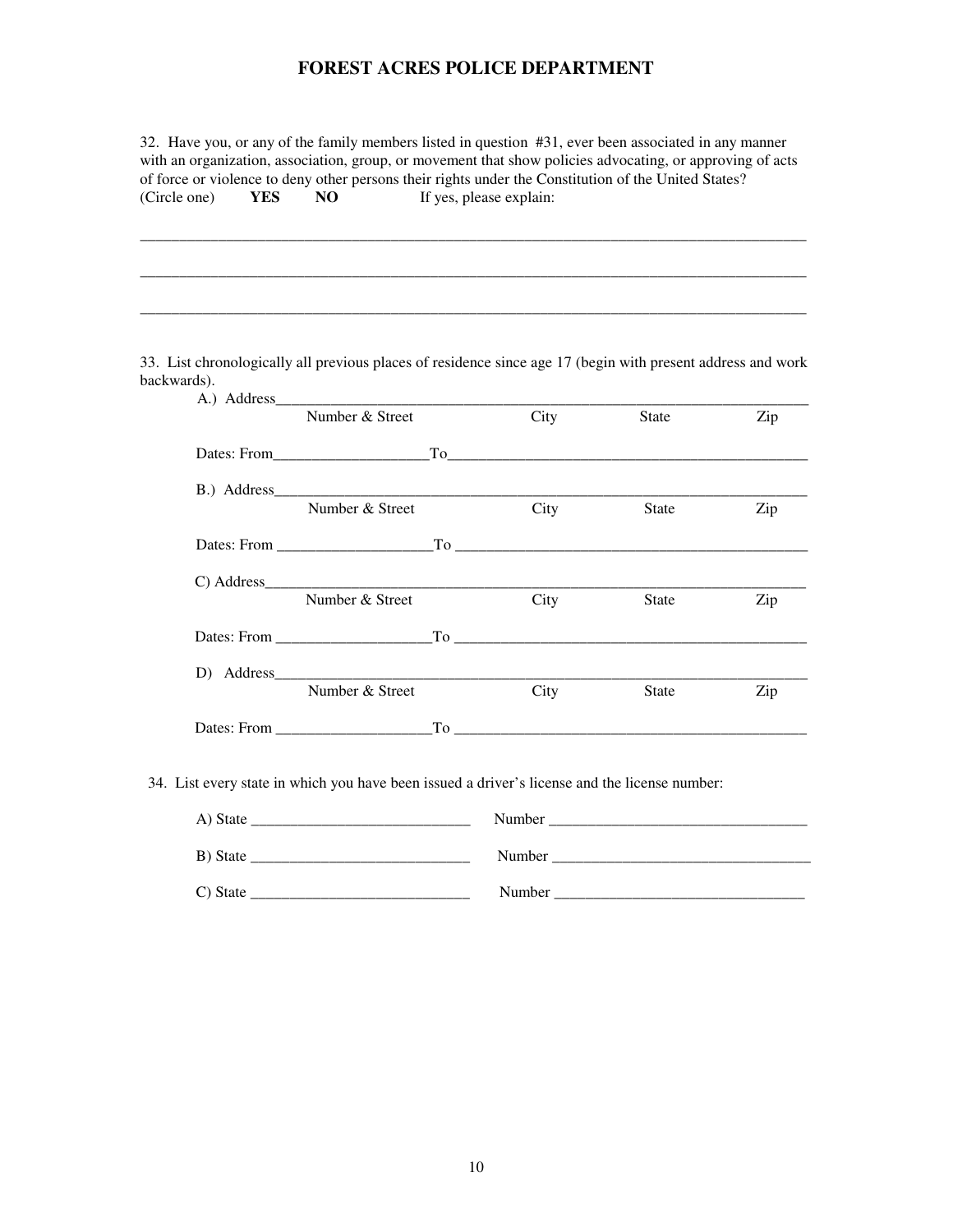32. Have you, or any of the family members listed in question #31, ever been associated in any manner with an organization, association, group, or movement that show policies advocating, or approving of acts of force or violence to deny other persons their rights under the Constitution of the United States? (Circle one) **FOREST ACRES POLICE DEPARTMENT**<br>32. Have you, or any of the family members listed in question #31, ever been associated in any manner<br>with an organization, association, group, or movement that show policies advocating, or YES NO If yes, please explain:

\_\_\_\_\_\_\_\_\_\_\_\_\_\_\_\_\_\_\_\_\_\_\_\_\_\_\_\_\_\_\_\_\_\_\_\_\_\_\_\_\_\_\_\_\_\_\_\_\_\_\_\_\_\_\_\_\_\_\_\_\_\_\_\_\_\_\_\_\_\_\_\_\_\_\_\_\_\_\_\_\_\_\_\_\_

\_\_\_\_\_\_\_\_\_\_\_\_\_\_\_\_\_\_\_\_\_\_\_\_\_\_\_\_\_\_\_\_\_\_\_\_\_\_\_\_\_\_\_\_\_\_\_\_\_\_\_\_\_\_\_\_\_\_\_\_\_\_\_\_\_\_\_\_\_\_\_\_\_\_\_\_\_\_\_\_\_\_\_\_\_

 33. List chronologically all previous places of residence since age 17 (begin with present address and work backwards).

| backwards). |                 |       |      |       |     |
|-------------|-----------------|-------|------|-------|-----|
|             | Number & Street |       | City | State | Zip |
|             |                 |       |      |       |     |
|             |                 |       |      |       |     |
|             | Number & Street |       | City | State | Zip |
|             |                 |       |      |       |     |
|             |                 |       |      |       |     |
|             | Number & Street |       | City | State | Zip |
|             |                 |       |      |       |     |
|             |                 |       |      |       |     |
|             | Number & Street |       | City | State | Zip |
|             |                 | To To |      |       |     |

34. List every state in which you have been issued a driver's license and the license number:

| A) State | Number |
|----------|--------|
| B) State | Number |
| C) State | Number |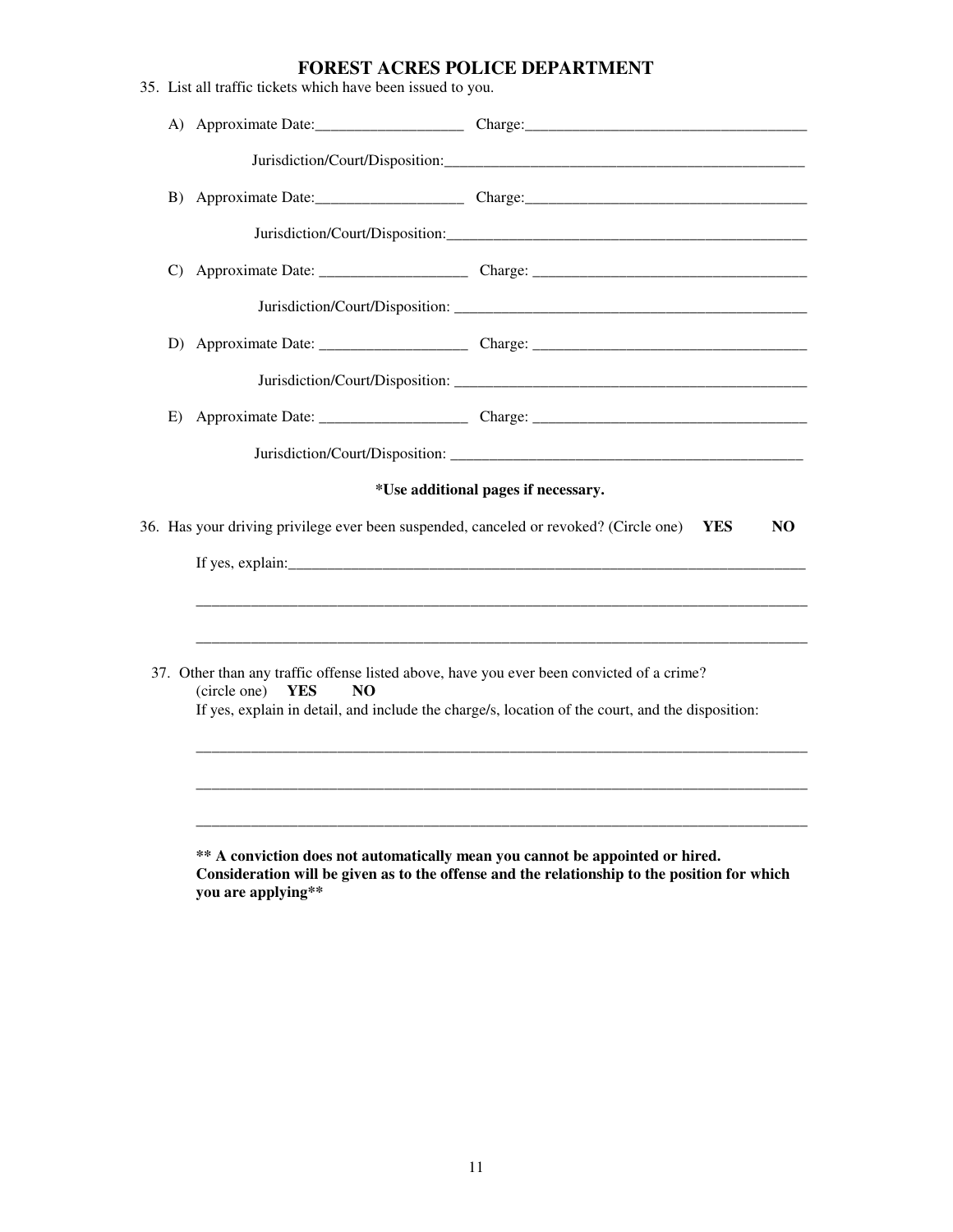| 35. List all traffic tickets which have been issued to you. |                                                                                                                                                                                               |
|-------------------------------------------------------------|-----------------------------------------------------------------------------------------------------------------------------------------------------------------------------------------------|
|                                                             | A) Approximate Date: Charge: Charge: Charge:                                                                                                                                                  |
|                                                             |                                                                                                                                                                                               |
| B)                                                          |                                                                                                                                                                                               |
|                                                             |                                                                                                                                                                                               |
| $\mathcal{C}$                                               |                                                                                                                                                                                               |
|                                                             |                                                                                                                                                                                               |
|                                                             |                                                                                                                                                                                               |
|                                                             |                                                                                                                                                                                               |
| E)                                                          |                                                                                                                                                                                               |
|                                                             |                                                                                                                                                                                               |
|                                                             | *Use additional pages if necessary.                                                                                                                                                           |
|                                                             | 36. Has your driving privilege ever been suspended, canceled or revoked? (Circle one)<br><b>YES</b><br>NO.                                                                                    |
|                                                             |                                                                                                                                                                                               |
|                                                             |                                                                                                                                                                                               |
|                                                             |                                                                                                                                                                                               |
| (circle one) YES<br>NO                                      | 37. Other than any traffic offense listed above, have you ever been convicted of a crime?<br>If yes, explain in detail, and include the charge/s, location of the court, and the disposition: |
|                                                             |                                                                                                                                                                                               |
|                                                             |                                                                                                                                                                                               |
| you are applying**                                          | ** A conviction does not automatically mean you cannot be appointed or hired.<br>Consideration will be given as to the offense and the relationship to the position for which                 |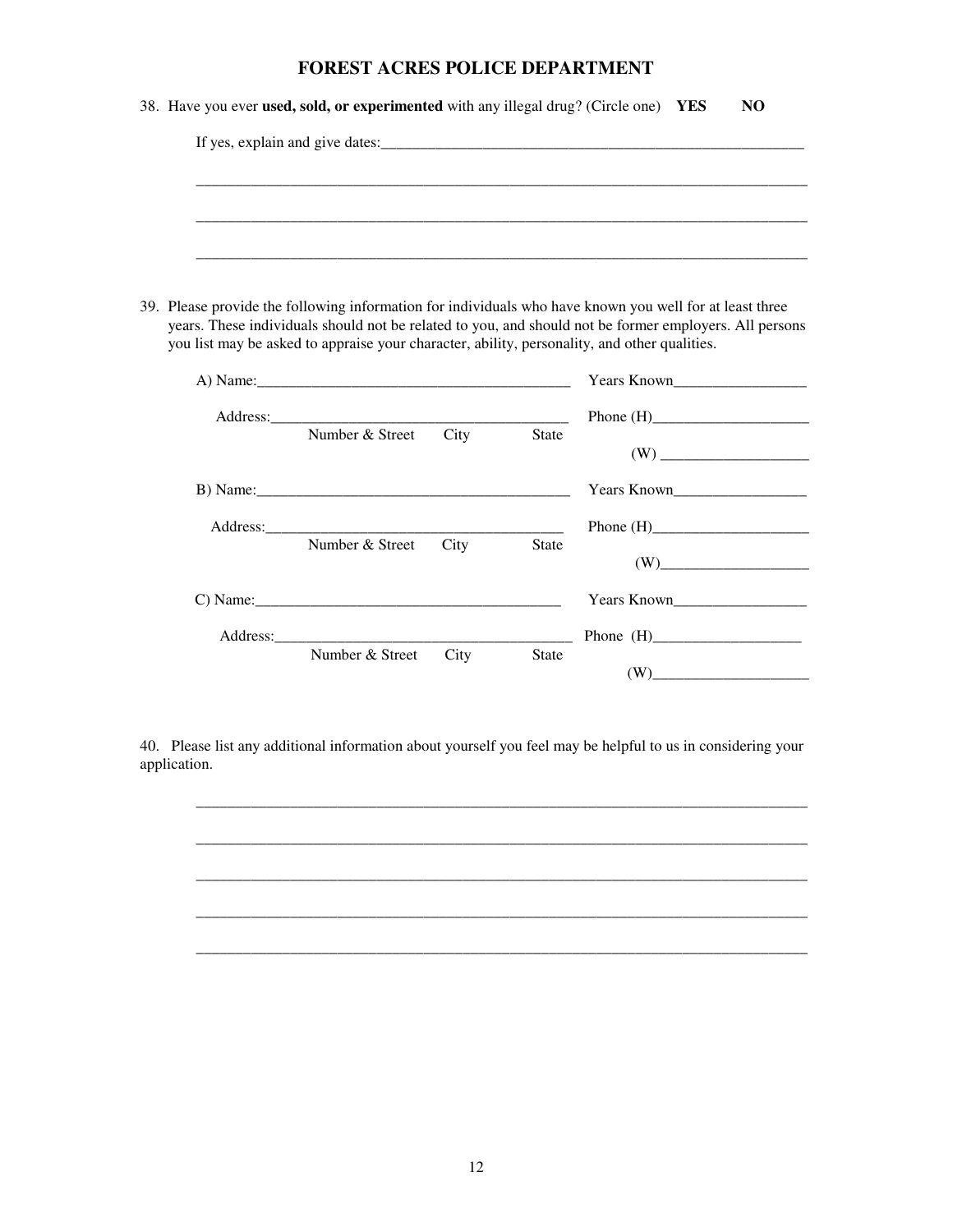| 38. Have you ever used, sold, or experimented with any illegal drug? (Circle one) YES | NO. |  |
|---------------------------------------------------------------------------------------|-----|--|
| If yes, explain and give dates:                                                       |     |  |
|                                                                                       |     |  |
|                                                                                       |     |  |
|                                                                                       |     |  |

 39. Please provide the following information for individuals who have known you well for at least three years. These individuals should not be related to you, and should not be former employers. All persons you list may be asked to appraise your character, ability, personality, and other qualities.

\_\_\_\_\_\_\_\_\_\_\_\_\_\_\_\_\_\_\_\_\_\_\_\_\_\_\_\_\_\_\_\_\_\_\_\_\_\_\_\_\_\_\_\_\_\_\_\_\_\_\_\_\_\_\_\_\_\_\_\_\_\_\_\_\_\_\_\_\_\_\_\_\_\_\_\_\_\_

|                 |      |              | <b>Years Known</b>                                     |
|-----------------|------|--------------|--------------------------------------------------------|
|                 |      |              |                                                        |
| Number & Street | City | <b>State</b> |                                                        |
| B) Name:        |      |              | Years Known                                            |
|                 |      |              |                                                        |
| Number & Street | City | <b>State</b> | (W)                                                    |
| C) Name:        |      |              | Years Known                                            |
|                 |      |              |                                                        |
| Number & Street | City | <b>State</b> | (W)<br>the contract of the contract of the contract of |

 40. Please list any additional information about yourself you feel may be helpful to us in considering your application. application. 12

\_\_\_\_\_\_\_\_\_\_\_\_\_\_\_\_\_\_\_\_\_\_\_\_\_\_\_\_\_\_\_\_\_\_\_\_\_\_\_\_\_\_\_\_\_\_\_\_\_\_\_\_\_\_\_\_\_\_\_\_\_\_\_\_\_\_\_\_\_\_\_\_\_\_\_\_\_\_

\_\_\_\_\_\_\_\_\_\_\_\_\_\_\_\_\_\_\_\_\_\_\_\_\_\_\_\_\_\_\_\_\_\_\_\_\_\_\_\_\_\_\_\_\_\_\_\_\_\_\_\_\_\_\_\_\_\_\_\_\_\_\_\_\_\_\_\_\_\_\_\_\_\_\_\_\_\_

\_\_\_\_\_\_\_\_\_\_\_\_\_\_\_\_\_\_\_\_\_\_\_\_\_\_\_\_\_\_\_\_\_\_\_\_\_\_\_\_\_\_\_\_\_\_\_\_\_\_\_\_\_\_\_\_\_\_\_\_\_\_\_\_\_\_\_\_\_\_\_\_\_\_\_\_\_\_

\_\_\_\_\_\_\_\_\_\_\_\_\_\_\_\_\_\_\_\_\_\_\_\_\_\_\_\_\_\_\_\_\_\_\_\_\_\_\_\_\_\_\_\_\_\_\_\_\_\_\_\_\_\_\_\_\_\_\_\_\_\_\_\_\_\_\_\_\_\_\_\_\_\_\_\_\_\_

\_\_\_\_\_\_\_\_\_\_\_\_\_\_\_\_\_\_\_\_\_\_\_\_\_\_\_\_\_\_\_\_\_\_\_\_\_\_\_\_\_\_\_\_\_\_\_\_\_\_\_\_\_\_\_\_\_\_\_\_\_\_\_\_\_\_\_\_\_\_\_\_\_\_\_\_\_\_